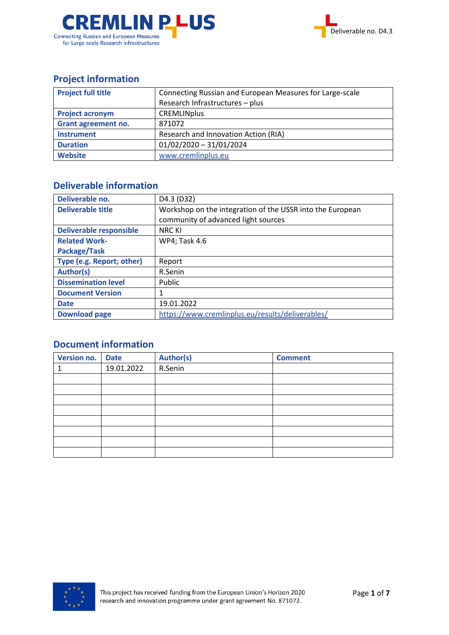



# **Project information**

| <b>Project full title</b> | Connecting Russian and European Measures for Large-scale |  |
|---------------------------|----------------------------------------------------------|--|
|                           | Research Infrastructures - plus                          |  |
| <b>Project acronym</b>    | <b>CREMLINplus</b>                                       |  |
| Grant agreement no.       | 871072                                                   |  |
| <b>Instrument</b>         | Research and Innovation Action (RIA)                     |  |
| <b>Duration</b>           | $01/02/2020 - 31/01/2024$                                |  |
| <b>Website</b>            | www.cremlinplus.eu                                       |  |

#### **Deliverable information**

| Deliverable no.                | D4.3 (D32)                                                |  |
|--------------------------------|-----------------------------------------------------------|--|
| <b>Deliverable title</b>       | Workshop on the integration of the USSR into the European |  |
|                                | community of advanced light sources                       |  |
| <b>Deliverable responsible</b> | <b>NRC KI</b>                                             |  |
| <b>Related Work-</b>           | WP4; Task 4.6                                             |  |
| Package/Task                   |                                                           |  |
| Type (e.g. Report; other)      | Report                                                    |  |
| <b>Author(s)</b>               | R.Senin                                                   |  |
| <b>Dissemination level</b>     | Public                                                    |  |
| <b>Document Version</b>        |                                                           |  |
| <b>Date</b>                    | 19.01.2022                                                |  |
| <b>Download page</b>           | https://www.cremlinplus.eu/results/deliverables/          |  |

### **Document information**

| Version no. Date |            | Author(s) | <b>Comment</b> |
|------------------|------------|-----------|----------------|
|                  | 19.01.2022 | R.Senin   |                |
|                  |            |           |                |
|                  |            |           |                |
|                  |            |           |                |
|                  |            |           |                |
|                  |            |           |                |
|                  |            |           |                |
|                  |            |           |                |
|                  |            |           |                |

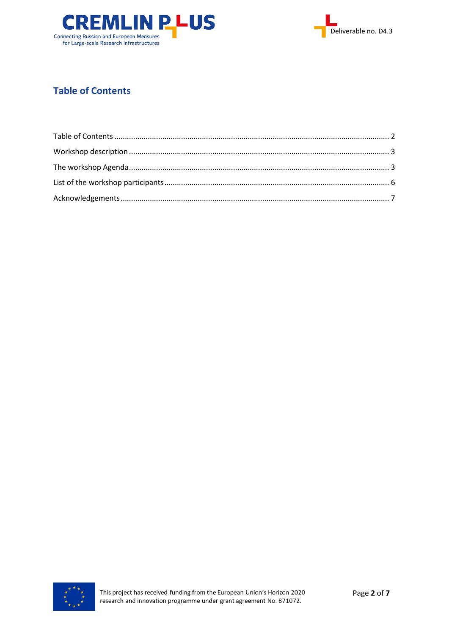



# <span id="page-1-0"></span>**Table of Contents**

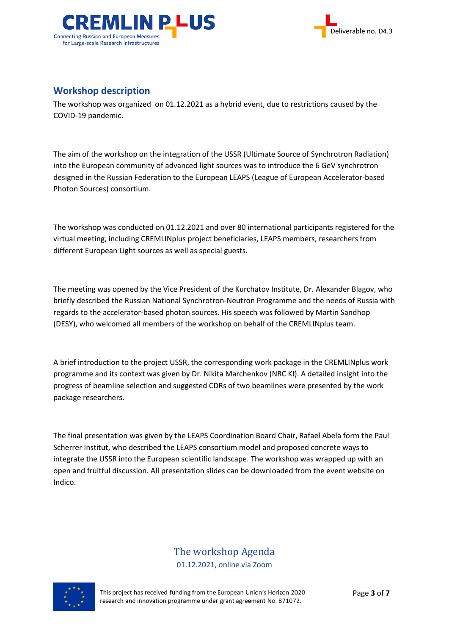

### <span id="page-2-0"></span>**Workshop description**

The workshop was organized on 01.12.2021 as a hybrid event, due to restrictions caused by the COVID-19 pandemic.

The aim of the workshop on the integration of the USSR (Ultimate Source of Synchrotron Radiation) into the European community of advanced light sources was to introduce the 6 GeV synchrotron designed in the Russian Federation to the European LEAPS (League of European Accelerator-based Photon Sources) consortium.

The workshop was conducted on 01.12.2021 and over 80 international participants registered for the virtual meeting, including CREMLINplus project beneficiaries, LEAPS members, researchers from different European Light sources as well as special guests.

The meeting was opened by the Vice President of the Kurchatov Institute, Dr. Alexander Blagov, who briefly described the Russian National Synchrotron-Neutron Programme and the needs of Russia with regards to the accelerator-based photon sources. His speech was followed by Martin Sandhop (DESY), who welcomed all members of the workshop on behalf of the CREMLINplus team.

A brief introduction to the project USSR, the corresponding work package in the CREMLINplus work programme and its context was given by Dr. Nikita Marchenkov (NRC KI). A detailed insight into the progress of beamline selection and suggested CDRs of two beamlines were presented by the work package researchers.

The final presentation was given by the LEAPS Coordination Board Chair, Rafael Abela form the Paul Scherrer Institut, who described the LEAPS consortium model and proposed concrete ways to integrate the USSR into the European scientific landscape. The workshop was wrapped up with an open and fruitful discussion. All presentation slides can be downloaded from the event website on Indico.

# The workshop Agenda 01.12.2021, online via Zoom

<span id="page-2-1"></span>

This project has received funding from the European Union's Horizon 2020 research and innovation programme under grant agreement No. 871072.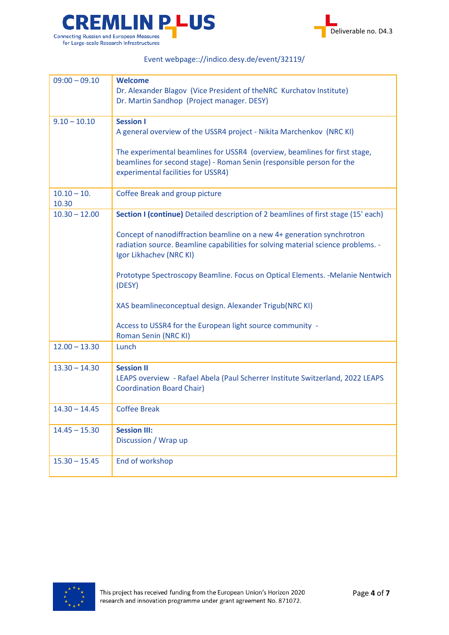



#### Event webpage:://indico.desy.de/event/32119/

| $09:00 - 09.10$        | <b>Welcome</b><br>Dr. Alexander Blagov (Vice President of theNRC Kurchatov Institute)<br>Dr. Martin Sandhop (Project manager. DESY)                                                   |
|------------------------|---------------------------------------------------------------------------------------------------------------------------------------------------------------------------------------|
| $9.10 - 10.10$         | <b>Session I</b><br>A general overview of the USSR4 project - Nikita Marchenkov (NRC KI)<br>The experimental beamlines for USSR4 (overview, beamlines for first stage,                |
|                        | beamlines for second stage) - Roman Senin (responsible person for the<br>experimental facilities for USSR4)                                                                           |
| $10.10 - 10.$<br>10.30 | Coffee Break and group picture                                                                                                                                                        |
| $10.30 - 12.00$        | Section I (continue) Detailed description of 2 beamlines of first stage (15' each)                                                                                                    |
|                        | Concept of nanodiffraction beamline on a new 4+ generation synchrotron<br>radiation source. Beamline capabilities for solving material science problems. -<br>Igor Likhachev (NRC KI) |
|                        | Prototype Spectroscopy Beamline. Focus on Optical Elements. - Melanie Nentwich<br>(DESY)                                                                                              |
|                        | XAS beamlineconceptual design. Alexander Trigub(NRC KI)                                                                                                                               |
|                        | Access to USSR4 for the European light source community -<br>Roman Senin (NRC KI)                                                                                                     |
| $12.00 - 13.30$        | Lunch                                                                                                                                                                                 |
| $13.30 - 14.30$        | <b>Session II</b><br>LEAPS overview - Rafael Abela (Paul Scherrer Institute Switzerland, 2022 LEAPS<br><b>Coordination Board Chair)</b>                                               |
| $14.30 - 14.45$        | <b>Coffee Break</b>                                                                                                                                                                   |
| $14.45 - 15.30$        | <b>Session III:</b><br>Discussion / Wrap up                                                                                                                                           |
| $15.30 - 15.45$        | End of workshop                                                                                                                                                                       |

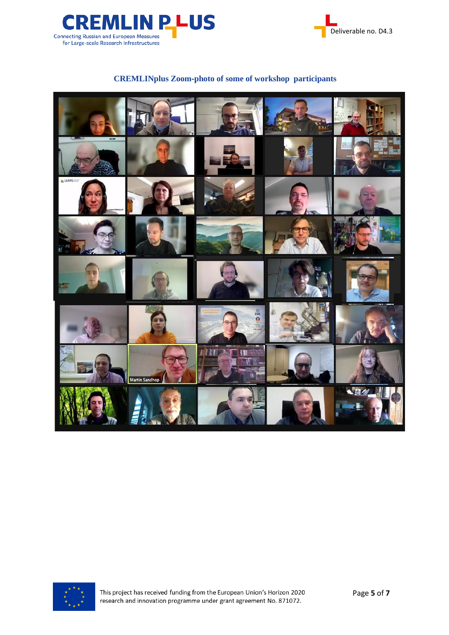



#### **CREMLINplus Zoom**‐**photo of some of workshop participants**





This project has received funding from the European Union's Horizon 2020 research and innovation programme under grant agreement No. 871072.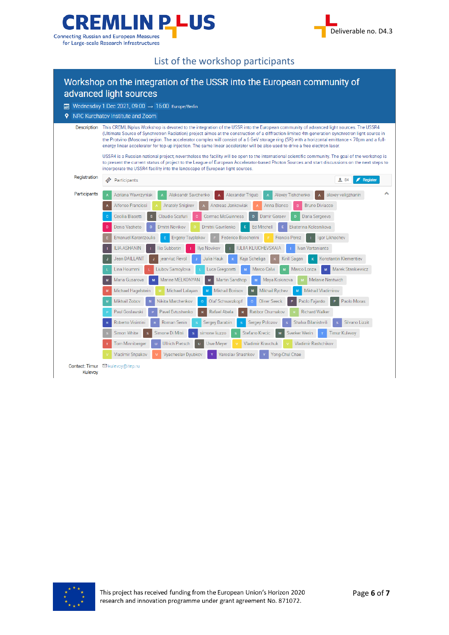

### List of the workshop participants

<span id="page-5-0"></span>